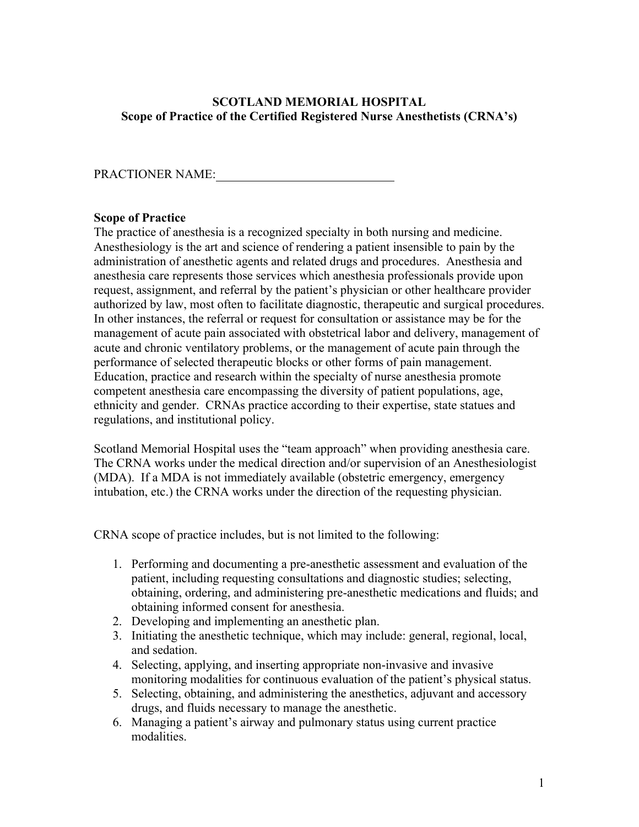## **SCOTLAND MEMORIAL HOSPITAL Scope of Practice of the Certified Registered Nurse Anesthetists (CRNA's)**

## PRACTIONER NAME:

## **Scope of Practice**

The practice of anesthesia is a recognized specialty in both nursing and medicine. Anesthesiology is the art and science of rendering a patient insensible to pain by the administration of anesthetic agents and related drugs and procedures. Anesthesia and anesthesia care represents those services which anesthesia professionals provide upon request, assignment, and referral by the patient's physician or other healthcare provider authorized by law, most often to facilitate diagnostic, therapeutic and surgical procedures. In other instances, the referral or request for consultation or assistance may be for the management of acute pain associated with obstetrical labor and delivery, management of acute and chronic ventilatory problems, or the management of acute pain through the performance of selected therapeutic blocks or other forms of pain management. Education, practice and research within the specialty of nurse anesthesia promote competent anesthesia care encompassing the diversity of patient populations, age, ethnicity and gender. CRNAs practice according to their expertise, state statues and regulations, and institutional policy.

Scotland Memorial Hospital uses the "team approach" when providing anesthesia care. The CRNA works under the medical direction and/or supervision of an Anesthesiologist (MDA). If a MDA is not immediately available (obstetric emergency, emergency intubation, etc.) the CRNA works under the direction of the requesting physician.

CRNA scope of practice includes, but is not limited to the following:

- 1. Performing and documenting a pre-anesthetic assessment and evaluation of the patient, including requesting consultations and diagnostic studies; selecting, obtaining, ordering, and administering pre-anesthetic medications and fluids; and obtaining informed consent for anesthesia.
- 2. Developing and implementing an anesthetic plan.
- 3. Initiating the anesthetic technique, which may include: general, regional, local, and sedation.
- 4. Selecting, applying, and inserting appropriate non-invasive and invasive monitoring modalities for continuous evaluation of the patient's physical status.
- 5. Selecting, obtaining, and administering the anesthetics, adjuvant and accessory drugs, and fluids necessary to manage the anesthetic.
- 6. Managing a patient's airway and pulmonary status using current practice modalities.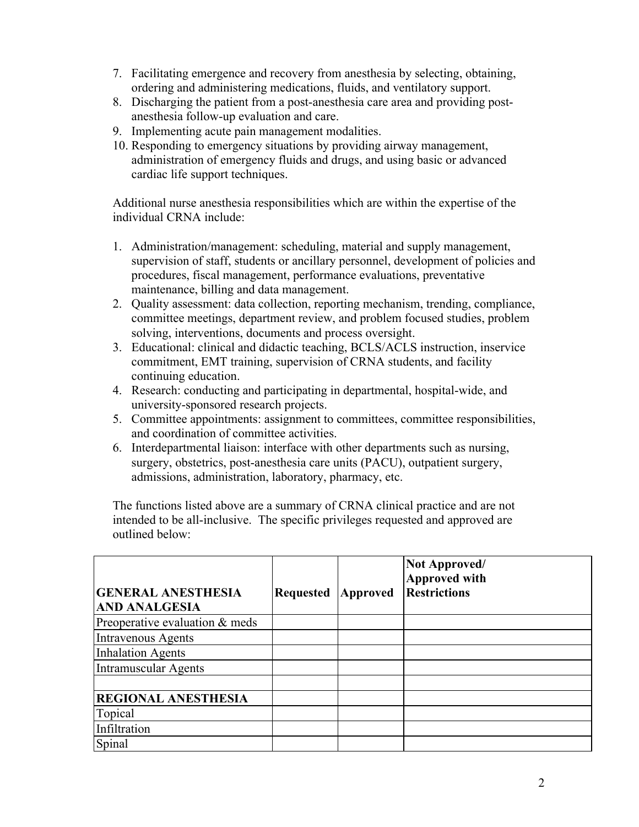- 7. Facilitating emergence and recovery from anesthesia by selecting, obtaining, ordering and administering medications, fluids, and ventilatory support.
- 8. Discharging the patient from a post-anesthesia care area and providing postanesthesia follow-up evaluation and care.
- 9. Implementing acute pain management modalities.
- 10. Responding to emergency situations by providing airway management, administration of emergency fluids and drugs, and using basic or advanced cardiac life support techniques.

Additional nurse anesthesia responsibilities which are within the expertise of the individual CRNA include:

- 1. Administration/management: scheduling, material and supply management, supervision of staff, students or ancillary personnel, development of policies and procedures, fiscal management, performance evaluations, preventative maintenance, billing and data management.
- 2. Quality assessment: data collection, reporting mechanism, trending, compliance, committee meetings, department review, and problem focused studies, problem solving, interventions, documents and process oversight.
- 3. Educational: clinical and didactic teaching, BCLS/ACLS instruction, inservice commitment, EMT training, supervision of CRNA students, and facility continuing education.
- 4. Research: conducting and participating in departmental, hospital-wide, and university-sponsored research projects.
- 5. Committee appointments: assignment to committees, committee responsibilities, and coordination of committee activities.
- 6. Interdepartmental liaison: interface with other departments such as nursing, surgery, obstetrics, post-anesthesia care units (PACU), outpatient surgery, admissions, administration, laboratory, pharmacy, etc.

The functions listed above are a summary of CRNA clinical practice and are not intended to be all-inclusive. The specific privileges requested and approved are outlined below:

|                                |                  |          | Not Approved/<br><b>Approved with</b> |
|--------------------------------|------------------|----------|---------------------------------------|
| <b>GENERAL ANESTHESIA</b>      | <b>Requested</b> | Approved | <b>Restrictions</b>                   |
| <b>AND ANALGESIA</b>           |                  |          |                                       |
| Preoperative evaluation & meds |                  |          |                                       |
| Intravenous Agents             |                  |          |                                       |
| <b>Inhalation Agents</b>       |                  |          |                                       |
| <b>Intramuscular Agents</b>    |                  |          |                                       |
|                                |                  |          |                                       |
| <b>REGIONAL ANESTHESIA</b>     |                  |          |                                       |
| Topical                        |                  |          |                                       |
| Infiltration                   |                  |          |                                       |
| Spinal                         |                  |          |                                       |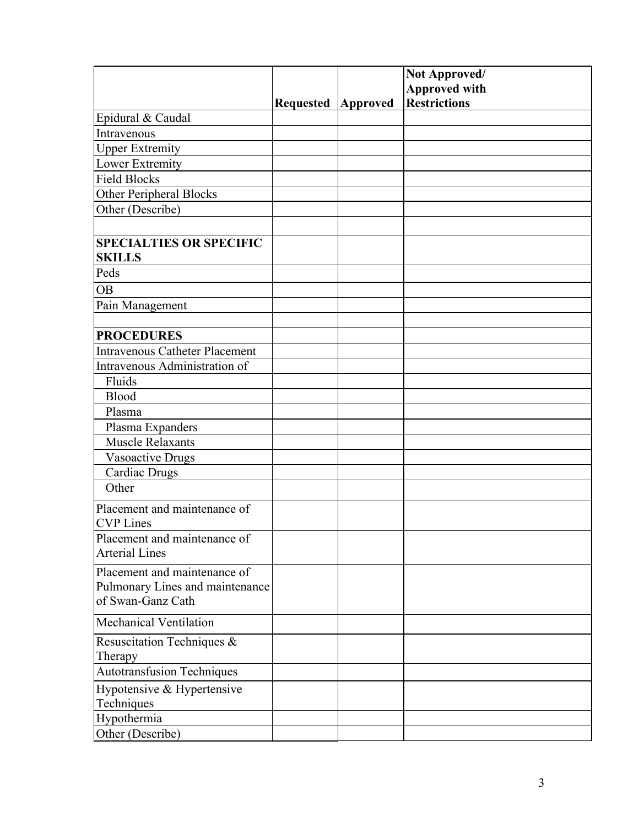|                                                       |                  |          | Not Approved/<br><b>Approved with</b> |
|-------------------------------------------------------|------------------|----------|---------------------------------------|
|                                                       | <b>Requested</b> | Approved | <b>Restrictions</b>                   |
| Epidural & Caudal                                     |                  |          |                                       |
| Intravenous                                           |                  |          |                                       |
| <b>Upper Extremity</b>                                |                  |          |                                       |
| Lower Extremity                                       |                  |          |                                       |
| <b>Field Blocks</b>                                   |                  |          |                                       |
| <b>Other Peripheral Blocks</b>                        |                  |          |                                       |
| Other (Describe)                                      |                  |          |                                       |
|                                                       |                  |          |                                       |
| <b>SPECIALTIES OR SPECIFIC</b><br><b>SKILLS</b>       |                  |          |                                       |
| Peds                                                  |                  |          |                                       |
| <b>OB</b>                                             |                  |          |                                       |
| Pain Management                                       |                  |          |                                       |
|                                                       |                  |          |                                       |
| <b>PROCEDURES</b>                                     |                  |          |                                       |
| <b>Intravenous Catheter Placement</b>                 |                  |          |                                       |
| Intravenous Administration of                         |                  |          |                                       |
| Fluids                                                |                  |          |                                       |
| <b>Blood</b>                                          |                  |          |                                       |
| Plasma                                                |                  |          |                                       |
| Plasma Expanders                                      |                  |          |                                       |
| <b>Muscle Relaxants</b>                               |                  |          |                                       |
| Vasoactive Drugs                                      |                  |          |                                       |
| Cardiac Drugs                                         |                  |          |                                       |
| Other                                                 |                  |          |                                       |
| Placement and maintenance of                          |                  |          |                                       |
| <b>CVP</b> Lines                                      |                  |          |                                       |
| Placement and maintenance of<br><b>Arterial Lines</b> |                  |          |                                       |
| Placement and maintenance of                          |                  |          |                                       |
| Pulmonary Lines and maintenance                       |                  |          |                                       |
| of Swan-Ganz Cath                                     |                  |          |                                       |
| Mechanical Ventilation                                |                  |          |                                       |
| Resuscitation Techniques &                            |                  |          |                                       |
| Therapy                                               |                  |          |                                       |
| <b>Autotransfusion Techniques</b>                     |                  |          |                                       |
| Hypotensive & Hypertensive                            |                  |          |                                       |
| Techniques                                            |                  |          |                                       |
| Hypothermia                                           |                  |          |                                       |
| Other (Describe)                                      |                  |          |                                       |